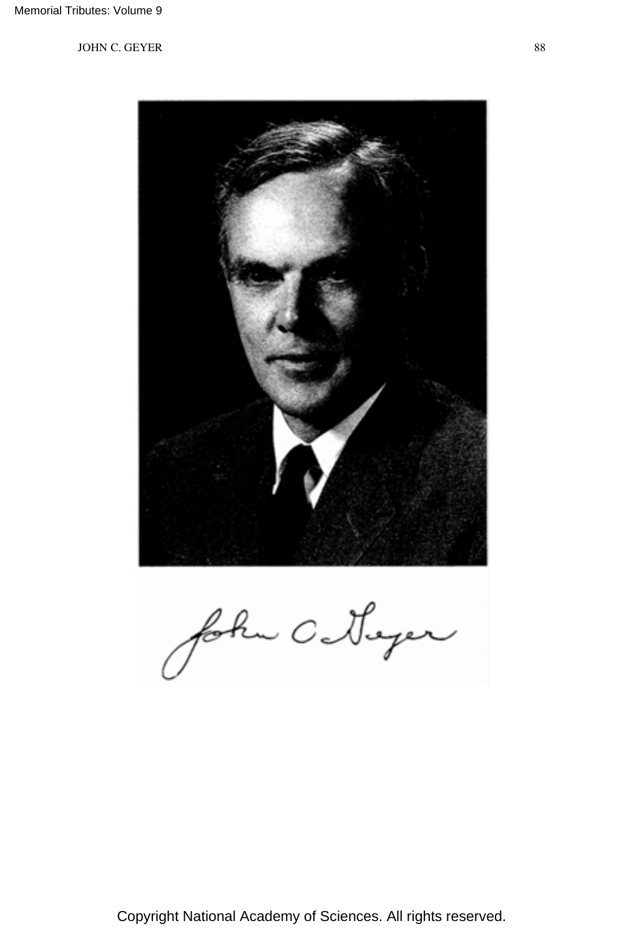

Copyright National Academy of Sciences. All rights reserved.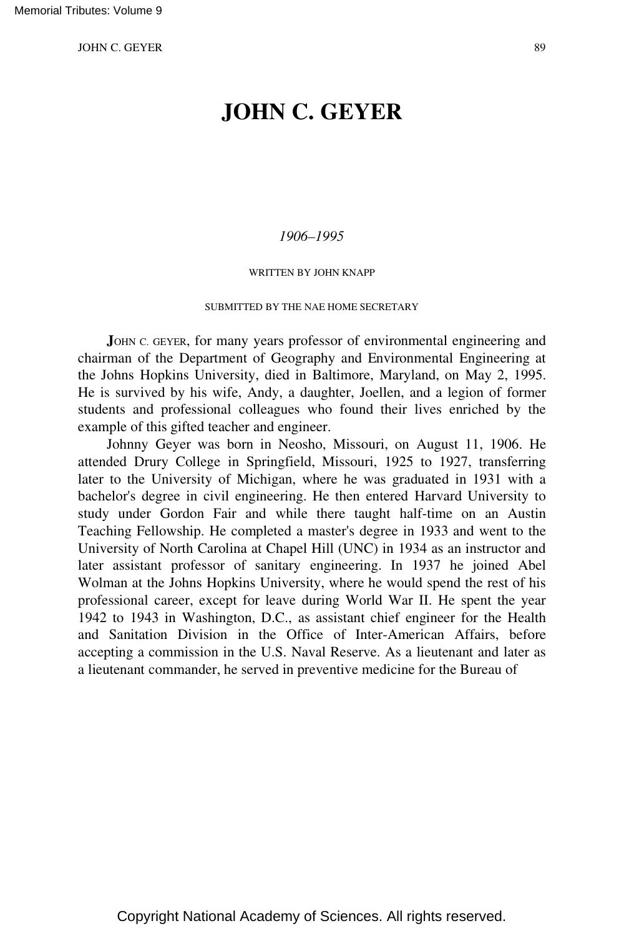# **JOHN C. GEYER**

### *1906–1995*

#### WRITTEN BY JOHN KNAPP

#### SUBMITTED BY THE NAE HOME SECRETARY

**J**OHN C. GEYER, for many years professor of environmental engineering and chairman of the Department of Geography and Environmental Engineering at the Johns Hopkins University, died in Baltimore, Maryland, on May 2, 1995. He is survived by his wife, Andy, a daughter, Joellen, and a legion of former students and professional colleagues who found their lives enriched by the example of this gifted teacher and engineer.

Johnny Geyer was born in Neosho, Missouri, on August 11, 1906. He attended Drury College in Springfield, Missouri, 1925 to 1927, transferring later to the University of Michigan, where he was graduated in 1931 with a bachelor's degree in civil engineering. He then entered Harvard University to study under Gordon Fair and while there taught half-time on an Austin Teaching Fellowship. He completed a master's degree in 1933 and went to the University of North Carolina at Chapel Hill (UNC) in 1934 as an instructor and later assistant professor of sanitary engineering. In 1937 he joined Abel Wolman at the Johns Hopkins University, where he would spend the rest of his professional career, except for leave during World War II. He spent the year 1942 to 1943 in Washington, D.C., as assistant chief engineer for the Health and Sanitation Division in the Office of Inter-American Affairs, before accepting a commission in the U.S. Naval Reserve. As a lieutenant and later as a lieutenant commander, he served in preventive medicine for the Bureau of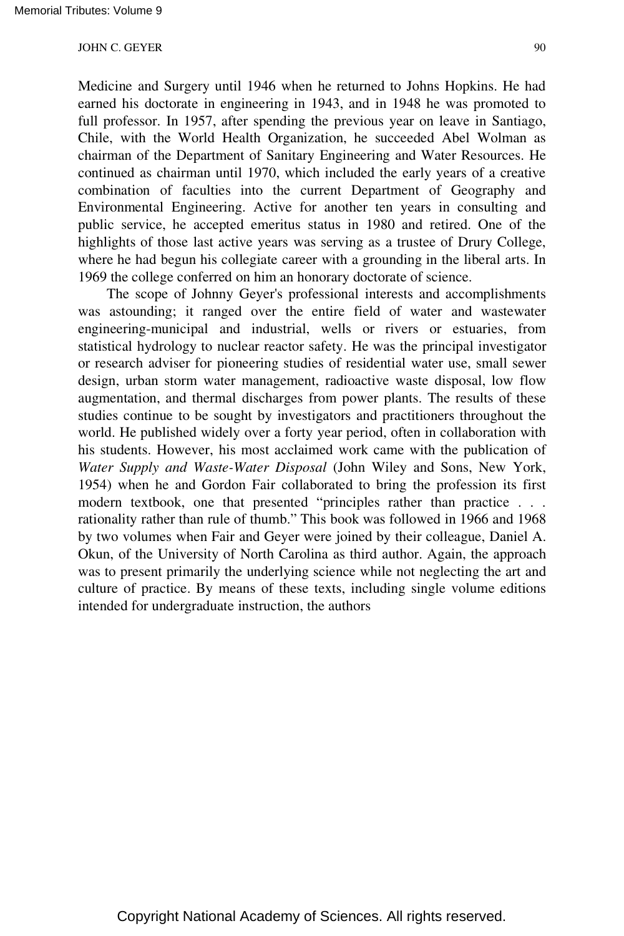Medicine and Surgery until 1946 when he returned to Johns Hopkins. He had earned his doctorate in engineering in 1943, and in 1948 he was promoted to full professor. In 1957, after spending the previous year on leave in Santiago, Chile, with the World Health Organization, he succeeded Abel Wolman as chairman of the Department of Sanitary Engineering and Water Resources. He continued as chairman until 1970, which included the early years of a creative combination of faculties into the current Department of Geography and Environmental Engineering. Active for another ten years in consulting and public service, he accepted emeritus status in 1980 and retired. One of the highlights of those last active years was serving as a trustee of Drury College, where he had begun his collegiate career with a grounding in the liberal arts. In 1969 the college conferred on him an honorary doctorate of science.

The scope of Johnny Geyer's professional interests and accomplishments was astounding; it ranged over the entire field of water and wastewater engineering-municipal and industrial, wells or rivers or estuaries, from statistical hydrology to nuclear reactor safety. He was the principal investigator or research adviser for pioneering studies of residential water use, small sewer design, urban storm water management, radioactive waste disposal, low flow augmentation, and thermal discharges from power plants. The results of these studies continue to be sought by investigators and practitioners throughout the world. He published widely over a forty year period, often in collaboration with his students. However, his most acclaimed work came with the publication of *Water Supply and Waste-Water Disposal* (John Wiley and Sons, New York, 1954) when he and Gordon Fair collaborated to bring the profession its first modern textbook, one that presented "principles rather than practice . . . rationality rather than rule of thumb." This book was followed in 1966 and 1968 by two volumes when Fair and Geyer were joined by their colleague, Daniel A. Okun, of the University of North Carolina as third author. Again, the approach was to present primarily the underlying science while not neglecting the art and culture of practice. By means of these texts, including single volume editions intended for undergraduate instruction, the authors